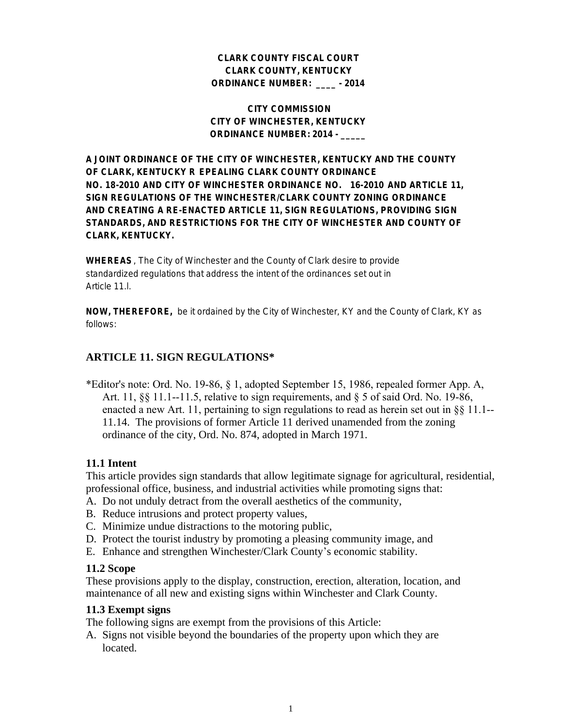#### **CLARK COUNTY FISCAL COURT CLARK COUNTY, KENTUCKY ORDINANCE NUMBER: \_\_\_\_ - 2014**

#### **CITY COMMISSION CITY OF WINCHESTER, KENTUCKY ORDINANCE NUMBER: 2014 - \_\_\_\_\_**

**A JOINT ORDINANCE OF THE CITY OF WINCHESTER, KENTUCKY AND THE COUNTY OF CLARK, KENTUCKY R EPEALING CLARK COUNTY ORDINANCE NO. 18-2010 AND CITY OF WINCHESTER ORDINANCE NO. 16-2010 AND ARTICLE 11, SIGN REGULATIONS OF THE WINCHESTER/CLARK COUNTY ZONING ORDINANCE AND CREATING A RE-ENACTED ARTICLE 11, SIGN REGULATIONS, PROVIDING SIGN STANDARDS, AND RESTRICTIONS FOR THE CITY OF WINCHESTER AND COUNTY OF CLARK, KENTUCKY.**

**WHEREAS**, The City of Winchester and the County of Clark desire to provide standardized regulations that address the intent of the ordinances set out in Article 11.

**NOW, THEREFORE,** be it ordained by the City of Winchester, KY and the County of Clark, KY as follows:

### **ARTICLE 11. SIGN REGULATIONS\***

\*Editor's note: Ord. No. 19-86, § 1, adopted September 15, 1986, repealed former App. A, Art. 11,  $\S$ § 11.1--11.5, relative to sign requirements, and  $\S$  5 of said Ord. No. 19-86, enacted a new Art. 11, pertaining to sign regulations to read as herein set out in §§ 11.1-- 11.14. The provisions of former Article 11 derived unamended from the zoning ordinance of the city, Ord. No. 874, adopted in March 1971.

### **11.1 Intent**

This article provides sign standards that allow legitimate signage for agricultural, residential, professional office, business, and industrial activities while promoting signs that:

- A. Do not unduly detract from the overall aesthetics of the community,
- B. Reduce intrusions and protect property values,
- C. Minimize undue distractions to the motoring public,
- D. Protect the tourist industry by promoting a pleasing community image, and
- E. Enhance and strengthen Winchester/Clark County's economic stability.

#### **11.2 Scope**

These provisions apply to the display, construction, erection, alteration, location, and maintenance of all new and existing signs within Winchester and Clark County.

#### **11.3 Exempt signs**

The following signs are exempt from the provisions of this Article:

A. Signs not visible beyond the boundaries of the property upon which they are located.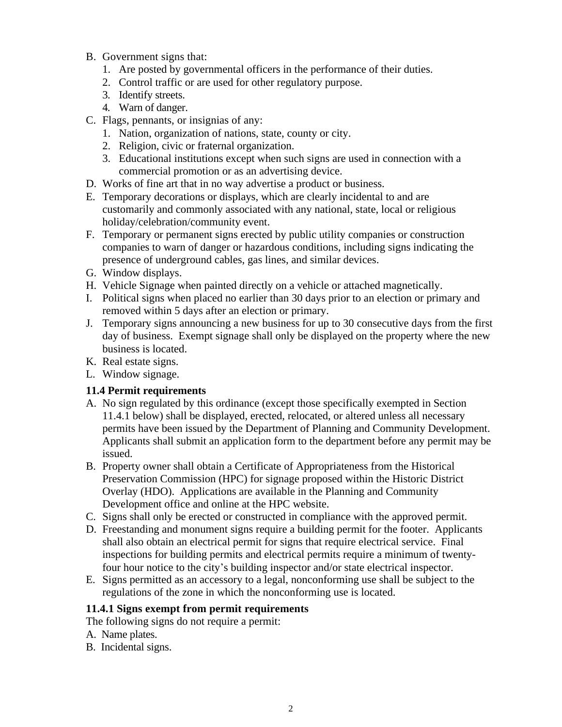- B. Government signs that:
	- 1. Are posted by governmental officers in the performance of their duties.
	- 2. Control traffic or are used for other regulatory purpose.
	- 3. Identify streets.
	- 4. Warn of danger.
- C. Flags, pennants, or insignias of any:
	- 1. Nation, organization of nations, state, county or city.
	- 2. Religion, civic or fraternal organization.
	- 3. Educational institutions except when such signs are used in connection with a commercial promotion or as an advertising device.
- D. Works of fine art that in no way advertise a product or business.
- E. Temporary decorations or displays, which are clearly incidental to and are customarily and commonly associated with any national, state, local or religious holiday/celebration/community event.
- F. Temporary or permanent signs erected by public utility companies or construction companies to warn of danger or hazardous conditions, including signs indicating the presence of underground cables, gas lines, and similar devices.
- G. Window displays.
- H. Vehicle Signage when painted directly on a vehicle or attached magnetically.
- I. Political signs when placed no earlier than 30 days prior to an election or primary and removed within 5 days after an election or primary.
- J. Temporary signs announcing a new business for up to 30 consecutive days from the first day of business. Exempt signage shall only be displayed on the property where the new business is located.
- K. Real estate signs.
- L. Window signage.

### **11.4 Permit requirements**

- A. No sign regulated by this ordinance (except those specifically exempted in Section 11.4.1 below) shall be displayed, erected, relocated, or altered unless all necessary permits have been issued by the Department of Planning and Community Development. Applicants shall submit an application form to the department before any permit may be issued.
- B. Property owner shall obtain a Certificate of Appropriateness from the Historical Preservation Commission (HPC) for signage proposed within the Historic District Overlay (HDO). Applications are available in the Planning and Community Development office and online at the HPC website.
- C. Signs shall only be erected or constructed in compliance with the approved permit.
- D. Freestanding and monument signs require a building permit for the footer. Applicants shall also obtain an electrical permit for signs that require electrical service. Final inspections for building permits and electrical permits require a minimum of twentyfour hour notice to the city's building inspector and/or state electrical inspector.
- E. Signs permitted as an accessory to a legal, nonconforming use shall be subject to the regulations of the zone in which the nonconforming use is located.

### **11.4.1 Signs exempt from permit requirements**

The following signs do not require a permit:

- A. Name plates.
- B. Incidental signs.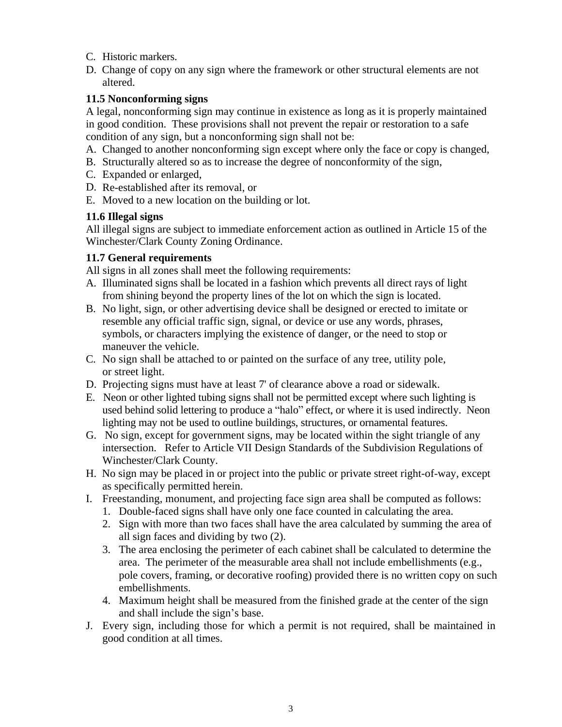- C. Historic markers.
- D. Change of copy on any sign where the framework or other structural elements are not altered.

## **11.5 Nonconforming signs**

A legal, nonconforming sign may continue in existence as long as it is properly maintained in good condition. These provisions shall not prevent the repair or restoration to a safe condition of any sign, but a nonconforming sign shall not be:

- A. Changed to another nonconforming sign except where only the face or copy is changed,
- B. Structurally altered so as to increase the degree of nonconformity of the sign,
- C. Expanded or enlarged,
- D. Re-established after its removal, or
- E. Moved to a new location on the building or lot.

## **11.6 Illegal signs**

All illegal signs are subject to immediate enforcement action as outlined in Article 15 of the Winchester/Clark County Zoning Ordinance.

## **11.7 General requirements**

All signs in all zones shall meet the following requirements:

- A. Illuminated signs shall be located in a fashion which prevents all direct rays of light from shining beyond the property lines of the lot on which the sign is located.
- B. No light, sign, or other advertising device shall be designed or erected to imitate or resemble any official traffic sign, signal, or device or use any words, phrases, symbols, or characters implying the existence of danger, or the need to stop or maneuver the vehicle.
- C. No sign shall be attached to or painted on the surface of any tree, utility pole, or street light.
- D. Projecting signs must have at least 7' of clearance above a road or sidewalk.
- E. Neon or other lighted tubing signs shall not be permitted except where such lighting is used behind solid lettering to produce a "halo" effect, or where it is used indirectly. Neon lighting may not be used to outline buildings, structures, or ornamental features.
- G. No sign, except for government signs, may be located within the sight triangle of any intersection. Refer to Article VII Design Standards of the Subdivision Regulations of Winchester/Clark County.
- H. No sign may be placed in or project into the public or private street right-of-way, except as specifically permitted herein.
- I. Freestanding, monument, and projecting face sign area shall be computed as follows:
	- 1. Double-faced signs shall have only one face counted in calculating the area.
	- 2. Sign with more than two faces shall have the area calculated by summing the area of all sign faces and dividing by two (2).
	- 3. The area enclosing the perimeter of each cabinet shall be calculated to determine the area. The perimeter of the measurable area shall not include embellishments (e.g., pole covers, framing, or decorative roofing) provided there is no written copy on such embellishments.
	- 4. Maximum height shall be measured from the finished grade at the center of the sign and shall include the sign's base.
- J. Every sign, including those for which a permit is not required, shall be maintained in good condition at all times.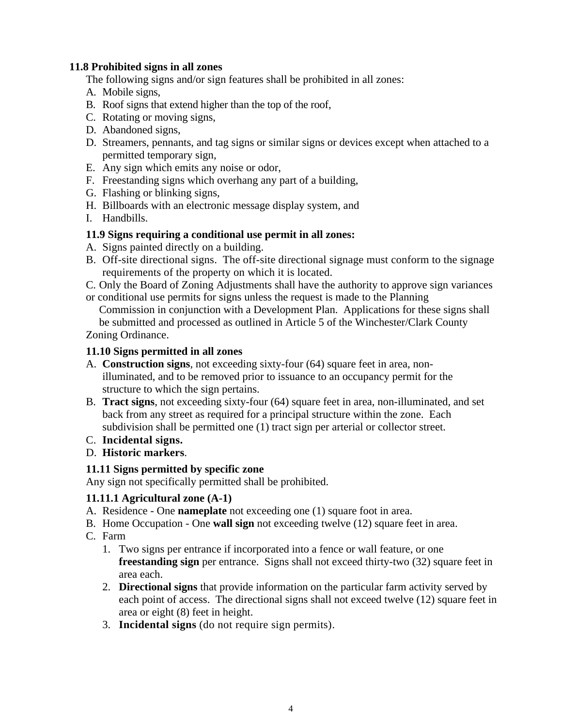### **11.8 Prohibited signs in all zones**

The following signs and/or sign features shall be prohibited in all zones:

- A. Mobile signs,
- B. Roof signs that extend higher than the top of the roof,
- C. Rotating or moving signs,
- D. Abandoned signs,
- D. Streamers, pennants, and tag signs or similar signs or devices except when attached to a permitted temporary sign,
- E. Any sign which emits any noise or odor,
- F. Freestanding signs which overhang any part of a building,
- G. Flashing or blinking signs,
- H. Billboards with an electronic message display system, and
- I. Handbills.

## **11.9 Signs requiring a conditional use permit in all zones:**

- A. Signs painted directly on a building.
- B. Off-site directional signs. The off-site directional signage must conform to the signage requirements of the property on which it is located.
- C. Only the Board of Zoning Adjustments shall have the authority to approve sign variances or conditional use permits for signs unless the request is made to the Planning

Commission in conjunction with a Development Plan. Applications for these signs shall be submitted and processed as outlined in Article 5 of the Winchester/Clark County

Zoning Ordinance.

### **11.10 Signs permitted in all zones**

- A. **Construction signs**, not exceeding sixty-four (64) square feet in area, nonilluminated, and to be removed prior to issuance to an occupancy permit for the structure to which the sign pertains.
- B. **Tract signs**, not exceeding sixty-four (64) square feet in area, non-illuminated, and set back from any street as required for a principal structure within the zone. Each subdivision shall be permitted one (1) tract sign per arterial or collector street.
- C. **Incidental signs.**
- D. **Historic markers**.

# **11.11 Signs permitted by specific zone**

Any sign not specifically permitted shall be prohibited.

# **11.11.1 Agricultural zone (A-1)**

- A. Residence One **nameplate** not exceeding one (1) square foot in area.
- B. Home Occupation One **wall sign** not exceeding twelve (12) square feet in area.
- C. Farm
	- 1. Two signs per entrance if incorporated into a fence or wall feature, or one **freestanding sign** per entrance. Signs shall not exceed thirty-two (32) square feet in area each.
	- 2. **Directional signs** that provide information on the particular farm activity served by each point of access. The directional signs shall not exceed twelve (12) square feet in area or eight (8) feet in height.
	- 3. **Incidental signs** (do not require sign permits).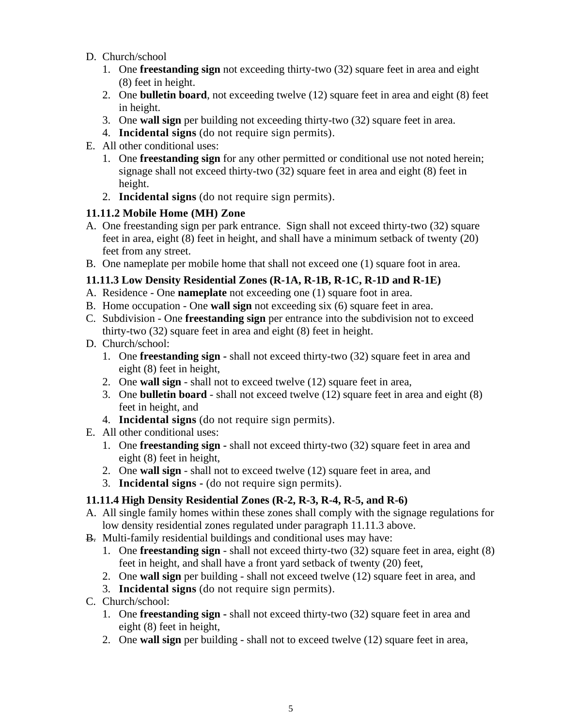- D. Church/school
	- 1. One **freestanding sign** not exceeding thirty-two (32) square feet in area and eight (8) feet in height.
	- 2. One **bulletin board**, not exceeding twelve (12) square feet in area and eight (8) feet in height.
	- 3. One **wall sign** per building not exceeding thirty-two (32) square feet in area.
	- 4. **Incidental signs** (do not require sign permits).
- E. All other conditional uses:
	- 1. One **freestanding sign** for any other permitted or conditional use not noted herein; signage shall not exceed thirty-two (32) square feet in area and eight (8) feet in height.
	- 2. **Incidental signs** (do not require sign permits).

## **11.11.2 Mobile Home (MH) Zone**

- A. One freestanding sign per park entrance. Sign shall not exceed thirty-two (32) square feet in area, eight (8) feet in height, and shall have a minimum setback of twenty (20) feet from any street.
- B. One nameplate per mobile home that shall not exceed one (1) square foot in area.

# **11.11.3 Low Density Residential Zones (R-1A, R-1B, R-1C, R-1D and R-1E)**

- A. Residence One **nameplate** not exceeding one (1) square foot in area.
- B. Home occupation One **wall sign** not exceeding six (6) square feet in area.
- C. Subdivision One **freestanding sign** per entrance into the subdivision not to exceed thirty-two (32) square feet in area and eight (8) feet in height.
- D. Church/school:
	- 1. One **freestanding sign** shall not exceed thirty-two (32) square feet in area and eight (8) feet in height,
	- 2. One **wall sign** shall not to exceed twelve (12) square feet in area,
	- 3. One **bulletin board** shall not exceed twelve (12) square feet in area and eight (8) feet in height, and
	- 4. **Incidental signs** (do not require sign permits).
- E. All other conditional uses:
	- 1. One **freestanding sign** shall not exceed thirty-two (32) square feet in area and eight (8) feet in height,
	- 2. One **wall sign** shall not to exceed twelve (12) square feet in area, and
	- 3. **Incidental signs -** (do not require sign permits).

# **11.11.4 High Density Residential Zones (R-2, R-3, R-4, R-5, and R-6)**

- A. All single family homes within these zones shall comply with the signage regulations for low density residential zones regulated under paragraph 11.11.3 above.
- B. Multi-family residential buildings and conditional uses may have:
	- 1. One **freestanding sign** shall not exceed thirty-two (32) square feet in area, eight (8) feet in height, and shall have a front yard setback of twenty (20) feet,
	- 2. One **wall sign** per building shall not exceed twelve (12) square feet in area, and
	- 3. **Incidental signs** (do not require sign permits).
- C. Church/school:
	- 1. One **freestanding sign** shall not exceed thirty-two (32) square feet in area and eight (8) feet in height,
	- 2. One **wall sign** per building shall not to exceed twelve (12) square feet in area,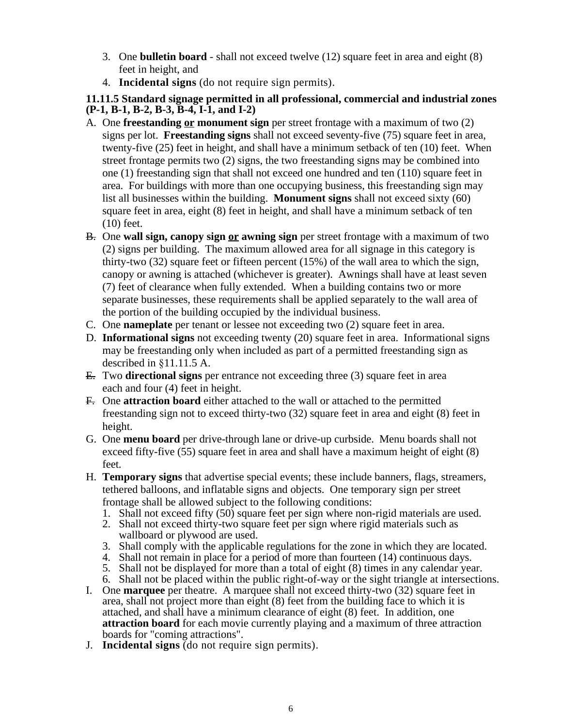- 3. One **bulletin board** shall not exceed twelve (12) square feet in area and eight (8) feet in height, and
- 4. **Incidental signs** (do not require sign permits).

### **11.11.5 Standard signage permitted in all professional, commercial and industrial zones (P-1, B-1, B-2, B-3, B-4, I-1, and I-2)**

- A. One **freestanding or monument sign** per street frontage with a maximum of two (2) signs per lot. **Freestanding signs** shall not exceed seventy-five (75) square feet in area, twenty-five (25) feet in height, and shall have a minimum setback of ten (10) feet. When street frontage permits two (2) signs, the two freestanding signs may be combined into one (1) freestanding sign that shall not exceed one hundred and ten (110) square feet in area. For buildings with more than one occupying business, this freestanding sign may list all businesses within the building. **Monument signs** shall not exceed sixty (60) square feet in area, eight (8) feet in height, and shall have a minimum setback of ten (10) feet.
- B. One **wall sign, canopy sign or awning sign** per street frontage with a maximum of two (2) signs per building. The maximum allowed area for all signage in this category is thirty-two (32) square feet or fifteen percent (15%) of the wall area to which the sign, canopy or awning is attached (whichever is greater). Awnings shall have at least seven (7) feet of clearance when fully extended. When a building contains two or more separate businesses, these requirements shall be applied separately to the wall area of the portion of the building occupied by the individual business.
- C. One **nameplate** per tenant or lessee not exceeding two (2) square feet in area.
- D. **Informational signs** not exceeding twenty (20) square feet in area. Informational signs may be freestanding only when included as part of a permitted freestanding sign as described in §11.11.5 A.
- E. Two **directional signs** per entrance not exceeding three (3) square feet in area each and four (4) feet in height.
- F. One **attraction board** either attached to the wall or attached to the permitted freestanding sign not to exceed thirty-two (32) square feet in area and eight (8) feet in height.
- G. One **menu board** per drive-through lane or drive-up curbside. Menu boards shall not exceed fifty-five (55) square feet in area and shall have a maximum height of eight (8) feet.
- H. **Temporary signs** that advertise special events; these include banners, flags, streamers, tethered balloons, and inflatable signs and objects. One temporary sign per street frontage shall be allowed subject to the following conditions:
	- 1. Shall not exceed fifty (50) square feet per sign where non-rigid materials are used.
	- 2. Shall not exceed thirty-two square feet per sign where rigid materials such as wallboard or plywood are used.
	- 3. Shall comply with the applicable regulations for the zone in which they are located.
	- 4. Shall not remain in place for a period of more than fourteen (14) continuous days.
	- 5. Shall not be displayed for more than a total of eight (8) times in any calendar year.
	- 6. Shall not be placed within the public right-of-way or the sight triangle at intersections.
- I. One **marquee** per theatre. A marquee shall not exceed thirty-two (32) square feet in area, shall not project more than eight (8) feet from the building face to which it is attached, and shall have a minimum clearance of eight (8) feet. In addition, one **attraction board** for each movie currently playing and a maximum of three attraction boards for "coming attractions".
- J. **Incidental signs** (do not require sign permits).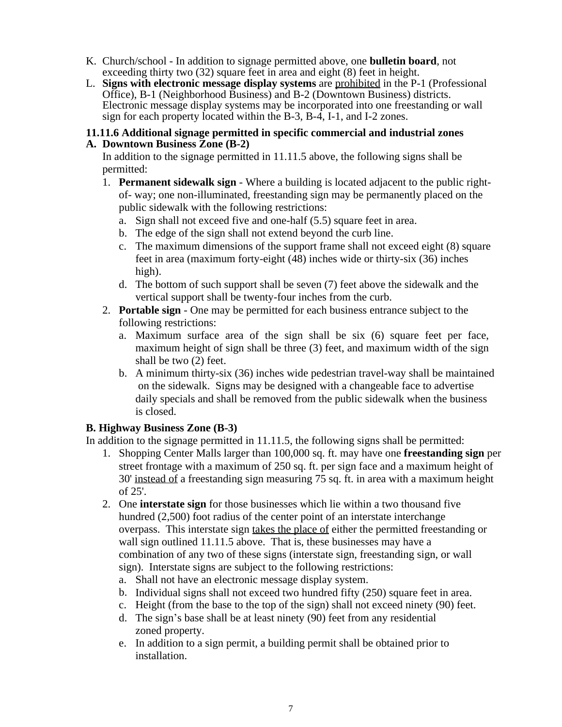- K. Church/school In addition to signage permitted above, one **bulletin board**, not exceeding thirty two (32) square feet in area and eight (8) feet in height.
- L. **Signs with electronic message display systems** are prohibited in the P-1 (Professional Office), B-1 (Neighborhood Business) and B-2 (Downtown Business) districts. Electronic message display systems may be incorporated into one freestanding or wall sign for each property located within the B-3, B-4, I-1, and I-2 zones.

#### **11.11.6 Additional signage permitted in specific commercial and industrial zones A. Downtown Business Zone (B-2)**

In addition to the signage permitted in 11.11.5 above, the following signs shall be permitted:

- 1. **Permanent sidewalk sign** Where a building is located adjacent to the public rightof- way; one non-illuminated, freestanding sign may be permanently placed on the public sidewalk with the following restrictions:
	- a. Sign shall not exceed five and one-half (5.5) square feet in area.
	- b. The edge of the sign shall not extend beyond the curb line.
	- c. The maximum dimensions of the support frame shall not exceed eight (8) square feet in area (maximum forty-eight (48) inches wide or thirty-six (36) inches high).
	- d. The bottom of such support shall be seven (7) feet above the sidewalk and the vertical support shall be twenty-four inches from the curb.
- 2. **Portable sign** One may be permitted for each business entrance subject to the following restrictions:
	- a. Maximum surface area of the sign shall be six (6) square feet per face, maximum height of sign shall be three (3) feet, and maximum width of the sign shall be two (2) feet.
	- b. A minimum thirty-six (36) inches wide pedestrian travel-way shall be maintained on the sidewalk. Signs may be designed with a changeable face to advertise daily specials and shall be removed from the public sidewalk when the business is closed.

### **B. Highway Business Zone (B-3)**

In addition to the signage permitted in 11.11.5, the following signs shall be permitted:

- 1. Shopping Center Malls larger than 100,000 sq. ft. may have one **freestanding sign** per street frontage with a maximum of 250 sq. ft. per sign face and a maximum height of 30' instead of a freestanding sign measuring 75 sq. ft. in area with a maximum height of 25'.
- 2. One **interstate sign** for those businesses which lie within a two thousand five hundred (2,500) foot radius of the center point of an interstate interchange overpass. This interstate sign takes the place of either the permitted freestanding or wall sign outlined 11.11.5 above. That is, these businesses may have a combination of any two of these signs (interstate sign, freestanding sign, or wall sign). Interstate signs are subject to the following restrictions:
	- a. Shall not have an electronic message display system.
	- b. Individual signs shall not exceed two hundred fifty (250) square feet in area.
	- c. Height (from the base to the top of the sign) shall not exceed ninety (90) feet.
	- d. The sign's base shall be at least ninety (90) feet from any residential zoned property.
	- e. In addition to a sign permit, a building permit shall be obtained prior to installation.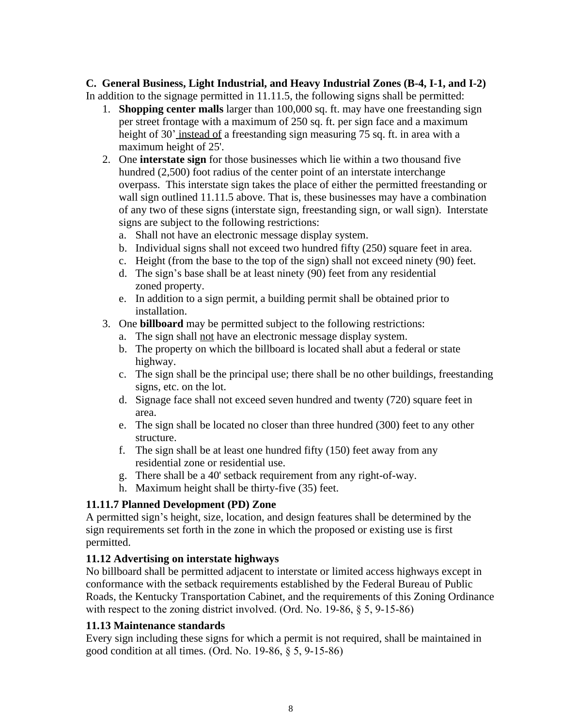#### **C. General Business, Light Industrial, and Heavy Industrial Zones (B-4, I-1, and I-2)** In addition to the signage permitted in 11.11.5, the following signs shall be permitted:

- 1. **Shopping center malls** larger than 100,000 sq. ft. may have one freestanding sign per street frontage with a maximum of 250 sq. ft. per sign face and a maximum height of 30' instead of a freestanding sign measuring 75 sq. ft. in area with a maximum height of 25'.
- 2. One **interstate sign** for those businesses which lie within a two thousand five hundred (2,500) foot radius of the center point of an interstate interchange overpass. This interstate sign takes the place of either the permitted freestanding or wall sign outlined 11.11.5 above. That is, these businesses may have a combination of any two of these signs (interstate sign, freestanding sign, or wall sign). Interstate signs are subject to the following restrictions:
	- a. Shall not have an electronic message display system.
	- b. Individual signs shall not exceed two hundred fifty (250) square feet in area.
	- c. Height (from the base to the top of the sign) shall not exceed ninety (90) feet.
	- d. The sign's base shall be at least ninety (90) feet from any residential zoned property.
	- e. In addition to a sign permit, a building permit shall be obtained prior to installation.
- 3. One **billboard** may be permitted subject to the following restrictions:
	- a. The sign shall not have an electronic message display system.
	- b. The property on which the billboard is located shall abut a federal or state highway.
	- c. The sign shall be the principal use; there shall be no other buildings, freestanding signs, etc. on the lot.
	- d. Signage face shall not exceed seven hundred and twenty (720) square feet in area.
	- e. The sign shall be located no closer than three hundred (300) feet to any other structure.
	- f. The sign shall be at least one hundred fifty (150) feet away from any residential zone or residential use.
	- g. There shall be a 40' setback requirement from any right-of-way.
	- h. Maximum height shall be thirty-five (35) feet.

# **11.11.7 Planned Development (PD) Zone**

A permitted sign's height, size, location, and design features shall be determined by the sign requirements set forth in the zone in which the proposed or existing use is first permitted.

# **11.12 Advertising on interstate highways**

No billboard shall be permitted adjacent to interstate or limited access highways except in conformance with the setback requirements established by the Federal Bureau of Public Roads, the Kentucky Transportation Cabinet, and the requirements of this Zoning Ordinance with respect to the zoning district involved. (Ord. No. 19-86, § 5, 9-15-86)

# **11.13 Maintenance standards**

Every sign including these signs for which a permit is not required, shall be maintained in good condition at all times. (Ord. No. 19-86, § 5, 9-15-86)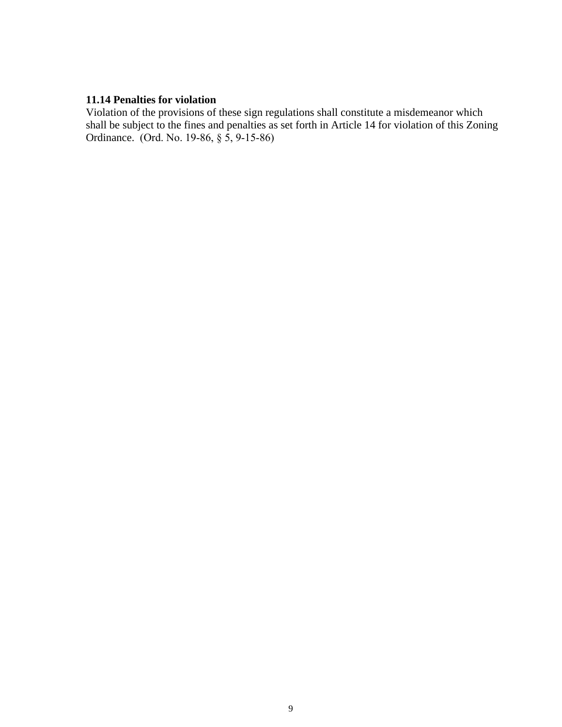## **11.14 Penalties for violation**

Violation of the provisions of these sign regulations shall constitute a misdemeanor which shall be subject to the fines and penalties as set forth in Article 14 for violation of this Zoning Ordinance. (Ord. No. 19-86, § 5, 9-15-86)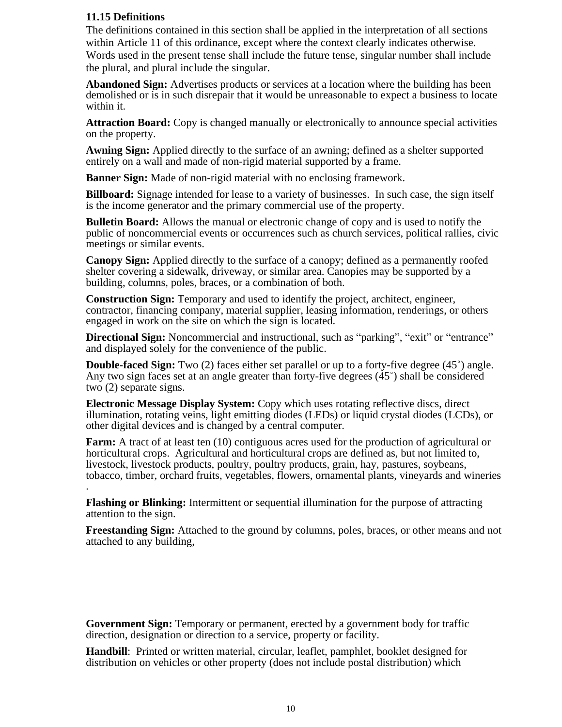#### **11.15 Definitions**

The definitions contained in this section shall be applied in the interpretation of all sections within Article 11 of this ordinance, except where the context clearly indicates otherwise. Words used in the present tense shall include the future tense, singular number shall include the plural, and plural include the singular.

**Abandoned Sign:** Advertises products or services at a location where the building has been demolished or is in such disrepair that it would be unreasonable to expect a business to locate within it.

**Attraction Board:** Copy is changed manually or electronically to announce special activities on the property.

**Awning Sign:** Applied directly to the surface of an awning; defined as a shelter supported entirely on a wall and made of non-rigid material supported by a frame.

**Banner Sign:** Made of non-rigid material with no enclosing framework.

**Billboard:** Signage intended for lease to a variety of businesses. In such case, the sign itself is the income generator and the primary commercial use of the property.

**Bulletin Board:** Allows the manual or electronic change of copy and is used to notify the public of noncommercial events or occurrences such as church services, political rallies, civic meetings or similar events.

**Canopy Sign:** Applied directly to the surface of a canopy; defined as a permanently roofed shelter covering a sidewalk, driveway, or similar area. Canopies may be supported by a building, columns, poles, braces, or a combination of both.

**Construction Sign:** Temporary and used to identify the project, architect, engineer, contractor, financing company, material supplier, leasing information, renderings, or others engaged in work on the site on which the sign is located.

**Directional Sign:** Noncommercial and instructional, such as "parking", "exit" or "entrance" and displayed solely for the convenience of the public.

**Double-faced Sign:** Two (2) faces either set parallel or up to a forty-five degree (45<sup>°</sup>) angle. Any two sign faces set at an angle greater than forty-five degrees (45˚) shall be considered two (2) separate signs.

**Electronic Message Display System:** Copy which uses rotating reflective discs, direct illumination, rotating veins, light emitting diodes (LEDs) or liquid crystal diodes (LCDs), or other digital devices and is changed by a central computer.

**Farm:** A tract of at least ten (10) contiguous acres used for the production of agricultural or horticultural crops. Agricultural and horticultural crops are defined as, but not limited to, livestock, livestock products, poultry, poultry products, grain, hay, pastures, soybeans, tobacco, timber, orchard fruits, vegetables, flowers, ornamental plants, vineyards and wineries .

**Flashing or Blinking:** Intermittent or sequential illumination for the purpose of attracting attention to the sign.

**Freestanding Sign:** Attached to the ground by columns, poles, braces, or other means and not attached to any building,

**Government Sign:** Temporary or permanent, erected by a government body for traffic direction, designation or direction to a service, property or facility.

**Handbill**: Printed or written material, circular, leaflet, pamphlet, booklet designed for distribution on vehicles or other property (does not include postal distribution) which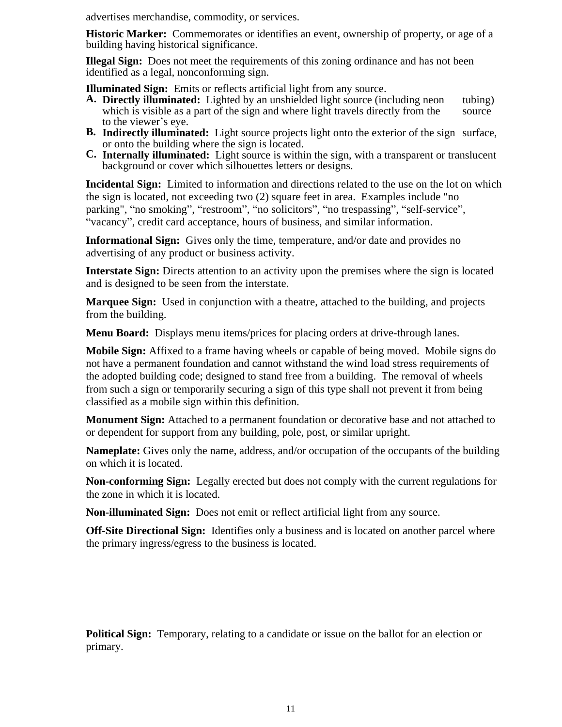advertises merchandise, commodity, or services.

**Historic Marker:** Commemorates or identifies an event, ownership of property, or age of a building having historical significance.

**Illegal Sign:** Does not meet the requirements of this zoning ordinance and has not been identified as a legal, nonconforming sign.

**Illuminated Sign:** Emits or reflects artificial light from any source.

- **A. Directly illuminated:** Lighted by an unshielded light source (including neon tubing) which is visible as a part of the sign and where light travels directly from the source which is visible as a part of the sign and where light travels directly from the to the viewer's eye.
- **B. Indirectly illuminated:** Light source projects light onto the exterior of the sign surface, or onto the building where the sign is located.
- **C. Internally illuminated:** Light source is within the sign, with a transparent or translucent background or cover which silhouettes letters or designs.

**Incidental Sign:** Limited to information and directions related to the use on the lot on which the sign is located, not exceeding two (2) square feet in area. Examples include "no parking", "no smoking", "restroom", "no solicitors", "no trespassing", "self-service", "vacancy", credit card acceptance, hours of business, and similar information.

**Informational Sign:** Gives only the time, temperature, and/or date and provides no advertising of any product or business activity.

**Interstate Sign:** Directs attention to an activity upon the premises where the sign is located and is designed to be seen from the interstate.

**Marquee Sign:** Used in conjunction with a theatre, attached to the building, and projects from the building.

**Menu Board:** Displays menu items/prices for placing orders at drive-through lanes.

**Mobile Sign:** Affixed to a frame having wheels or capable of being moved. Mobile signs do not have a permanent foundation and cannot withstand the wind load stress requirements of the adopted building code; designed to stand free from a building. The removal of wheels from such a sign or temporarily securing a sign of this type shall not prevent it from being classified as a mobile sign within this definition.

**Monument Sign:** Attached to a permanent foundation or decorative base and not attached to or dependent for support from any building, pole, post, or similar upright.

**Nameplate:** Gives only the name, address, and/or occupation of the occupants of the building on which it is located.

**Non-conforming Sign:** Legally erected but does not comply with the current regulations for the zone in which it is located.

**Non-illuminated Sign:** Does not emit or reflect artificial light from any source.

**Off-Site Directional Sign:** Identifies only a business and is located on another parcel where the primary ingress/egress to the business is located.

**Political Sign:** Temporary, relating to a candidate or issue on the ballot for an election or primary.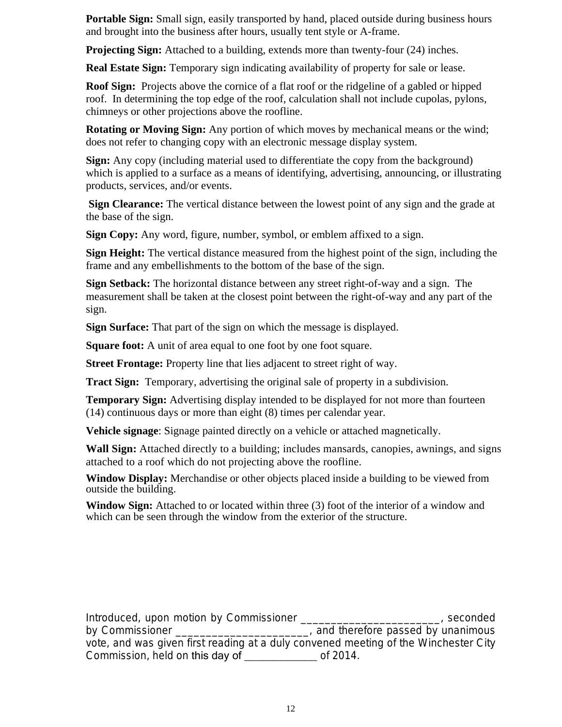**Portable Sign:** Small sign, easily transported by hand, placed outside during business hours and brought into the business after hours, usually tent style or A-frame.

**Projecting Sign:** Attached to a building, extends more than twenty-four (24) inches.

**Real Estate Sign:** Temporary sign indicating availability of property for sale or lease.

**Roof Sign:** Projects above the cornice of a flat roof or the ridgeline of a gabled or hipped roof. In determining the top edge of the roof, calculation shall not include cupolas, pylons, chimneys or other projections above the roofline.

**Rotating or Moving Sign:** Any portion of which moves by mechanical means or the wind; does not refer to changing copy with an electronic message display system.

**Sign:** Any copy (including material used to differentiate the copy from the background) which is applied to a surface as a means of identifying, advertising, announcing, or illustrating products, services, and/or events.

**Sign Clearance:** The vertical distance between the lowest point of any sign and the grade at the base of the sign.

**Sign Copy:** Any word, figure, number, symbol, or emblem affixed to a sign.

**Sign Height:** The vertical distance measured from the highest point of the sign, including the frame and any embellishments to the bottom of the base of the sign.

**Sign Setback:** The horizontal distance between any street right-of-way and a sign. The measurement shall be taken at the closest point between the right-of-way and any part of the sign.

**Sign Surface:** That part of the sign on which the message is displayed.

**Square foot:** A unit of area equal to one foot by one foot square.

**Street Frontage:** Property line that lies adjacent to street right of way.

**Tract Sign:** Temporary, advertising the original sale of property in a subdivision.

**Temporary Sign:** Advertising display intended to be displayed for not more than fourteen (14) continuous days or more than eight (8) times per calendar year.

**Vehicle signage**: Signage painted directly on a vehicle or attached magnetically.

**Wall Sign:** Attached directly to a building; includes mansards, canopies, awnings, and signs attached to a roof which do not projecting above the roofline.

**Window Display:** Merchandise or other objects placed inside a building to be viewed from outside the building.

**Window Sign:** Attached to or located within three (3) foot of the interior of a window and which can be seen through the window from the exterior of the structure.

Introduced, upon motion by Commissioner example the seconded of the seconded by Commissioner **Example 20** and therefore passed by unanimous vote, and was given first reading at a duly convened meeting of the Winchester City Commission, held on this day of **commission**, held on this day of **commission**